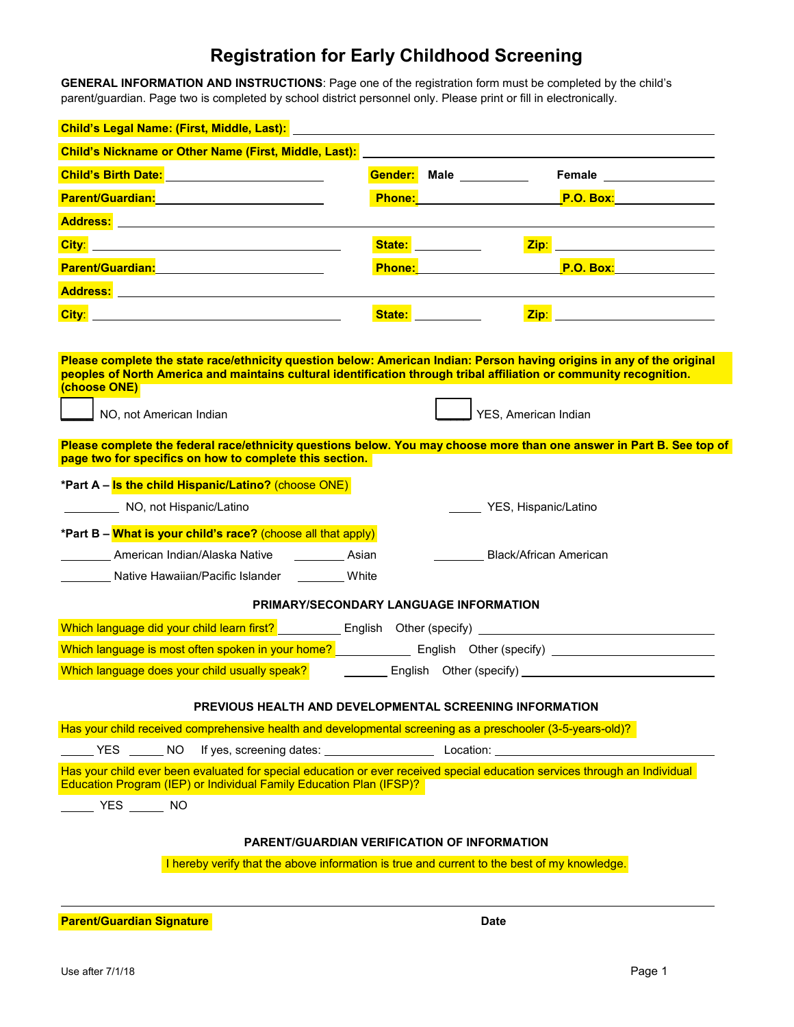## **Registration for Early Childhood Screening**

**GENERAL INFORMATION AND INSTRUCTIONS**: Page one of the registration form must be completed by the child's parent/guardian. Page two is completed by school district personnel only. Please print or fill in electronically.

| Child's Legal Name: (First, Middle, Last):                                                                                                                                                                                                                    |               |                                                                                                                                                                                                                                     |                                                                                                                                                                                                                                      |  |
|---------------------------------------------------------------------------------------------------------------------------------------------------------------------------------------------------------------------------------------------------------------|---------------|-------------------------------------------------------------------------------------------------------------------------------------------------------------------------------------------------------------------------------------|--------------------------------------------------------------------------------------------------------------------------------------------------------------------------------------------------------------------------------------|--|
| Child's Nickname or Other Name (First, Middle, Last):                                                                                                                                                                                                         |               |                                                                                                                                                                                                                                     |                                                                                                                                                                                                                                      |  |
| Child's Birth Date: Manual Property of Child's Birth Date:                                                                                                                                                                                                    | Gender:       | Male __________                                                                                                                                                                                                                     | Female <u>substitutions</u>                                                                                                                                                                                                          |  |
| Parent/Guardian: <b>Parent/Guardian:</b>                                                                                                                                                                                                                      | <b>Phone:</b> |                                                                                                                                                                                                                                     | <b>P.O. Box:</b>                                                                                                                                                                                                                     |  |
|                                                                                                                                                                                                                                                               |               |                                                                                                                                                                                                                                     |                                                                                                                                                                                                                                      |  |
| <u>City: City: City: City: City: City: City: City: City: City: City: City: City: City: City: City: City: City: City: City: City: City: City: City: City: City: City: City: City: City: City: City: City: City: City: City: City:</u>                          | State: _      | Zip:                                                                                                                                                                                                                                | <u>and the state of the state of the state</u>                                                                                                                                                                                       |  |
|                                                                                                                                                                                                                                                               |               | <b>Phone:</b> The contract of the contract of the contract of the contract of the contract of the contract of the contract of the contract of the contract of the contract of the contract of the contract of the contract of the c |                                                                                                                                                                                                                                      |  |
|                                                                                                                                                                                                                                                               |               |                                                                                                                                                                                                                                     |                                                                                                                                                                                                                                      |  |
| City: <b>City: And Constitution City: City: City: City: City: City: City: City: City: City: City: City: City: City: City: City: City: City: City: </b>                                                                                                        |               | <b>State: State:</b>                                                                                                                                                                                                                | <u>Zip: with the contract of the contract of the contract of the contract of the contract of the contract of the contract of the contract of the contract of the contract of the contract of the contract of the contract of the</u> |  |
|                                                                                                                                                                                                                                                               |               |                                                                                                                                                                                                                                     |                                                                                                                                                                                                                                      |  |
| Please complete the state race/ethnicity question below: American Indian: Person having origins in any of the original<br>peoples of North America and maintains cultural identification through tribal affiliation or community recognition.<br>(choose ONE) |               |                                                                                                                                                                                                                                     |                                                                                                                                                                                                                                      |  |
| NO, not American Indian                                                                                                                                                                                                                                       |               | YES, American Indian                                                                                                                                                                                                                |                                                                                                                                                                                                                                      |  |
| Please complete the federal race/ethnicity questions below. You may choose more than one answer in Part B. See top of<br>page two for specifics on how to complete this section.                                                                              |               |                                                                                                                                                                                                                                     |                                                                                                                                                                                                                                      |  |
| *Part A - Is the child Hispanic/Latino? (choose ONE)                                                                                                                                                                                                          |               |                                                                                                                                                                                                                                     |                                                                                                                                                                                                                                      |  |
| NO, not Hispanic/Latino<br>YES, Hispanic/Latino                                                                                                                                                                                                               |               |                                                                                                                                                                                                                                     |                                                                                                                                                                                                                                      |  |
| *Part B - What is your child's race? (choose all that apply)                                                                                                                                                                                                  |               |                                                                                                                                                                                                                                     |                                                                                                                                                                                                                                      |  |
| American Indian/Alaska Native<br><b>Black/African American</b><br><b>Example 2</b> Asian                                                                                                                                                                      |               |                                                                                                                                                                                                                                     |                                                                                                                                                                                                                                      |  |
| Native Hawaiian/Pacific Islander White                                                                                                                                                                                                                        |               |                                                                                                                                                                                                                                     |                                                                                                                                                                                                                                      |  |
| PRIMARY/SECONDARY LANGUAGE INFORMATION                                                                                                                                                                                                                        |               |                                                                                                                                                                                                                                     |                                                                                                                                                                                                                                      |  |
|                                                                                                                                                                                                                                                               |               |                                                                                                                                                                                                                                     |                                                                                                                                                                                                                                      |  |
| Which language is most often spoken in your home? English Other (specify) __________________________                                                                                                                                                          |               |                                                                                                                                                                                                                                     |                                                                                                                                                                                                                                      |  |
| Which language does your child usually speak?                                                                                                                                                                                                                 |               |                                                                                                                                                                                                                                     |                                                                                                                                                                                                                                      |  |
| PREVIOUS HEALTH AND DEVELOPMENTAL SCREENING INFORMATION                                                                                                                                                                                                       |               |                                                                                                                                                                                                                                     |                                                                                                                                                                                                                                      |  |
| Has your child received comprehensive health and developmental screening as a preschooler (3-5-years-old)?                                                                                                                                                    |               |                                                                                                                                                                                                                                     |                                                                                                                                                                                                                                      |  |
| YES NO                                                                                                                                                                                                                                                        |               |                                                                                                                                                                                                                                     |                                                                                                                                                                                                                                      |  |
| Has your child ever been evaluated for special education or ever received special education services through an Individual<br>Education Program (IEP) or Individual Family Education Plan (IFSP)?                                                             |               |                                                                                                                                                                                                                                     |                                                                                                                                                                                                                                      |  |
| $\frac{1}{\sqrt{1-\frac{1}{2}}}$ YES $\frac{1}{\sqrt{1-\frac{1}{2}}}$ NO                                                                                                                                                                                      |               |                                                                                                                                                                                                                                     |                                                                                                                                                                                                                                      |  |
|                                                                                                                                                                                                                                                               |               |                                                                                                                                                                                                                                     |                                                                                                                                                                                                                                      |  |
| <b>PARENT/GUARDIAN VERIFICATION OF INFORMATION</b>                                                                                                                                                                                                            |               |                                                                                                                                                                                                                                     |                                                                                                                                                                                                                                      |  |
| I hereby verify that the above information is true and current to the best of my knowledge.                                                                                                                                                                   |               |                                                                                                                                                                                                                                     |                                                                                                                                                                                                                                      |  |
|                                                                                                                                                                                                                                                               |               |                                                                                                                                                                                                                                     |                                                                                                                                                                                                                                      |  |

**Parent/Guardian Signature Date 2018 Date 2018**